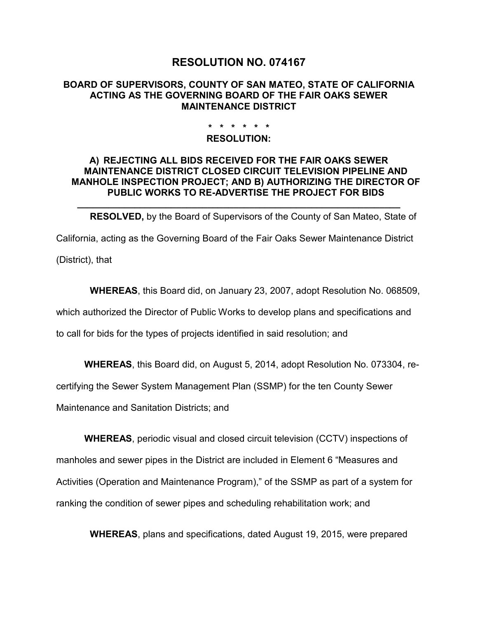# **RESOLUTION NO. 074167**

### **BOARD OF SUPERVISORS, COUNTY OF SAN MATEO, STATE OF CALIFORNIA ACTING AS THE GOVERNING BOARD OF THE FAIR OAKS SEWER MAINTENANCE DISTRICT**

### **\* \* \* \* \* \***

#### **RESOLUTION:**

## **A) REJECTING ALL BIDS RECEIVED FOR THE FAIR OAKS SEWER MAINTENANCE DISTRICT CLOSED CIRCUIT TELEVISION PIPELINE AND MANHOLE INSPECTION PROJECT; AND B) AUTHORIZING THE DIRECTOR OF PUBLIC WORKS TO RE-ADVERTISE THE PROJECT FOR BIDS**

**RESOLVED,** by the Board of Supervisors of the County of San Mateo, State of California, acting as the Governing Board of the Fair Oaks Sewer Maintenance District

**\_\_\_\_\_\_\_\_\_\_\_\_\_\_\_\_\_\_\_\_\_\_\_\_\_\_\_\_\_\_\_\_\_\_\_\_\_\_\_\_\_\_\_\_\_\_\_\_\_\_\_\_\_\_\_\_\_\_\_\_\_\_**

(District), that

**WHEREAS**, this Board did, on January 23, 2007, adopt Resolution No. 068509,

which authorized the Director of Public Works to develop plans and specifications and

to call for bids for the types of projects identified in said resolution; and

**WHEREAS**, this Board did, on August 5, 2014, adopt Resolution No. 073304, re-

certifying the Sewer System Management Plan (SSMP) for the ten County Sewer

Maintenance and Sanitation Districts; and

**WHEREAS**, periodic visual and closed circuit television (CCTV) inspections of manholes and sewer pipes in the District are included in Element 6 "Measures and Activities (Operation and Maintenance Program)," of the SSMP as part of a system for ranking the condition of sewer pipes and scheduling rehabilitation work; and

**WHEREAS**, plans and specifications, dated August 19, 2015, were prepared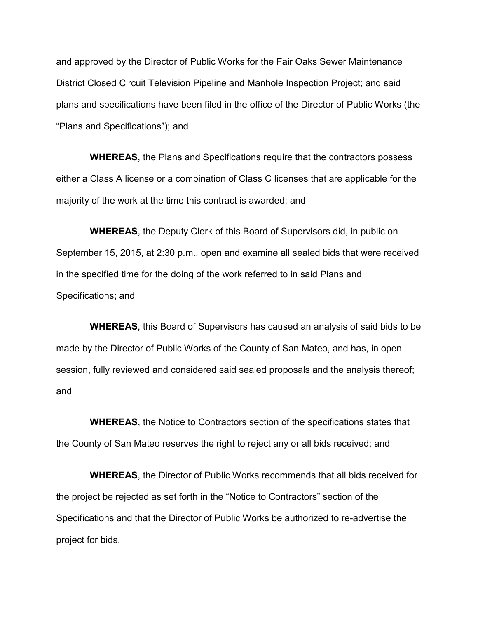and approved by the Director of Public Works for the Fair Oaks Sewer Maintenance District Closed Circuit Television Pipeline and Manhole Inspection Project; and said plans and specifications have been filed in the office of the Director of Public Works (the "Plans and Specifications"); and

**WHEREAS**, the Plans and Specifications require that the contractors possess either a Class A license or a combination of Class C licenses that are applicable for the majority of the work at the time this contract is awarded; and

**WHEREAS**, the Deputy Clerk of this Board of Supervisors did, in public on September 15, 2015, at 2:30 p.m., open and examine all sealed bids that were received in the specified time for the doing of the work referred to in said Plans and Specifications; and

**WHEREAS**, this Board of Supervisors has caused an analysis of said bids to be made by the Director of Public Works of the County of San Mateo, and has, in open session, fully reviewed and considered said sealed proposals and the analysis thereof; and

**WHEREAS**, the Notice to Contractors section of the specifications states that the County of San Mateo reserves the right to reject any or all bids received; and

**WHEREAS**, the Director of Public Works recommends that all bids received for the project be rejected as set forth in the "Notice to Contractors" section of the Specifications and that the Director of Public Works be authorized to re-advertise the project for bids.